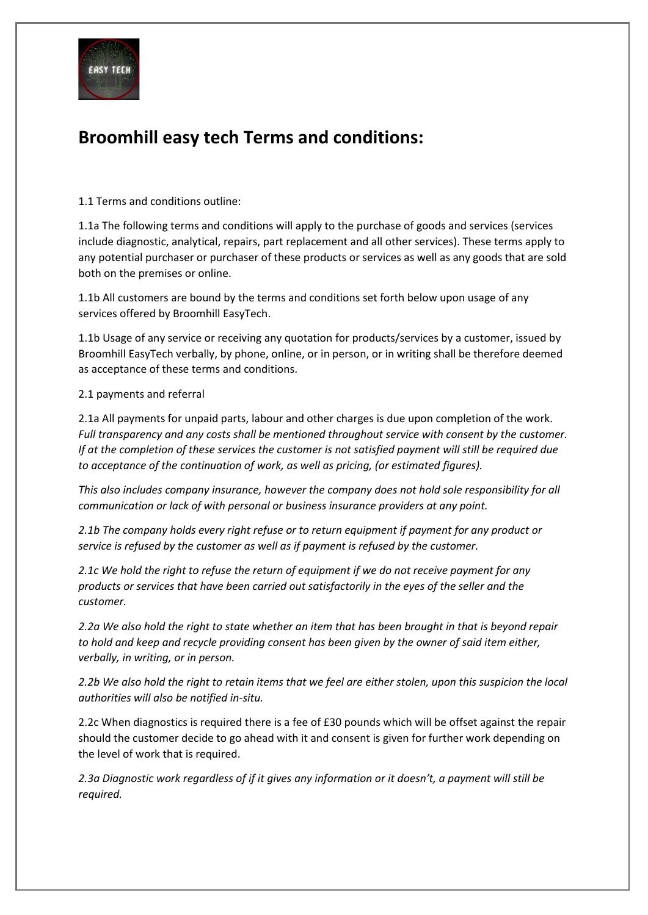

# **Broomhill easy tech Terms and conditions:**

1.1 Terms and conditions outline:

1.1a The following terms and conditions will apply to the purchase of goods and services (services include diagnostic, analytical, repairs, part replacement and all other services). These terms apply to any potential purchaser or purchaser of these products or services as well as any goods that are sold both on the premises or online.

1.1b All customers are bound by the terms and conditions set forth below upon usage of any services offered by Broomhill EasyTech.

1.1b Usage of any service or receiving any quotation for products/services by a customer, issued by Broomhill EasyTech verbally, by phone, online, or in person, or in writing shall be therefore deemed as acceptance of these terms and conditions.

2.1 payments and referral

2.1a All payments for unpaid parts, labour and other charges is due upon completion of the work. *Full transparency and any costs shall be mentioned throughout service with consent by the customer. If at the completion of these services the customer is not satisfied payment will still be required due to acceptance of the continuation of work, as well as pricing, (or estimated figures).*

*This also includes company insurance, however the company does not hold sole responsibility for all communication or lack of with personal or business insurance providers at any point.*

*2.1b The company holds every right refuse or to return equipment if payment for any product or service is refused by the customer as well as if payment is refused by the customer.* 

*2.1c We hold the right to refuse the return of equipment if we do not receive payment for any products or services that have been carried out satisfactorily in the eyes of the seller and the customer.* 

*2.2a We also hold the right to state whether an item that has been brought in that is beyond repair to hold and keep and recycle providing consent has been given by the owner of said item either, verbally, in writing, or in person.* 

*2.2b We also hold the right to retain items that we feel are either stolen, upon this suspicion the local authorities will also be notified in-situ.*

2.2c When diagnostics is required there is a fee of £30 pounds which will be offset against the repair should the customer decide to go ahead with it and consent is given for further work depending on the level of work that is required.

*2.3a Diagnostic work regardless of if it gives any information or it doesn't, a payment will still be required.*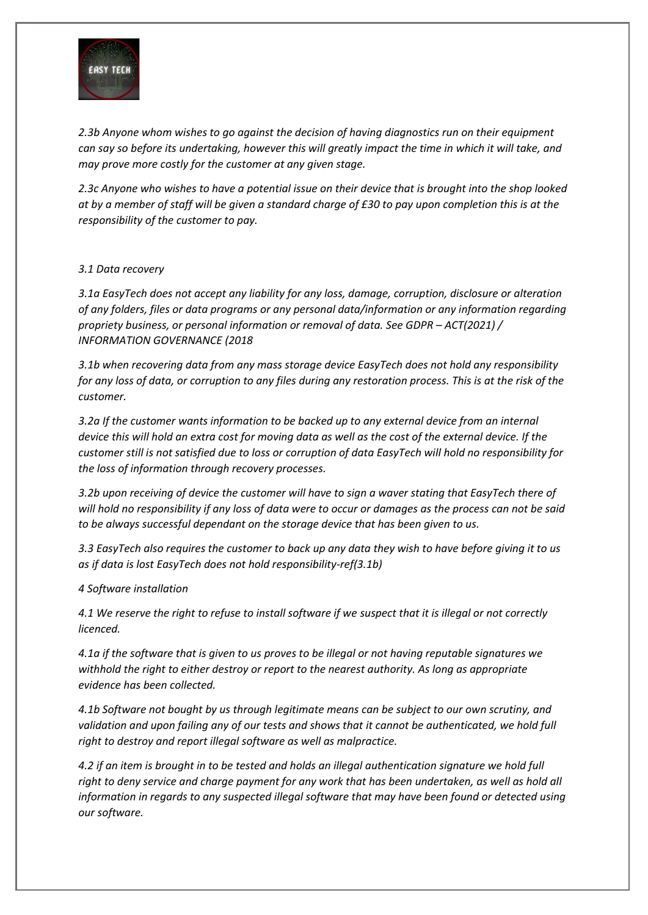

*2.3b Anyone whom wishes to go against the decision of having diagnostics run on their equipment can say so before its undertaking, however this will greatly impact the time in which it will take, and may prove more costly for the customer at any given stage.*

*2.3c Anyone who wishes to have a potential issue on their device that is brought into the shop looked at by a member of staff will be given a standard charge of £30 to pay upon completion this is at the responsibility of the customer to pay.* 

### *3.1 Data recovery*

*3.1a EasyTech does not accept any liability for any loss, damage, corruption, disclosure or alteration of any folders, files or data programs or any personal data/information or any information regarding propriety business, or personal information or removal of data. See GDPR – ACT(2021) / INFORMATION GOVERNANCE (2018*

*3.1b when recovering data from any mass storage device EasyTech does not hold any responsibility for any loss of data, or corruption to any files during any restoration process. This is at the risk of the customer.*

*3.2a If the customer wants information to be backed up to any external device from an internal device this will hold an extra cost for moving data as well as the cost of the external device. If the customer still is not satisfied due to loss or corruption of data EasyTech will hold no responsibility for the loss of information through recovery processes.*

*3.2b upon receiving of device the customer will have to sign a waver stating that EasyTech there of will hold no responsibility if any loss of data were to occur or damages as the process can not be said to be always successful dependant on the storage device that has been given to us.*

*3.3 EasyTech also requires the customer to back up any data they wish to have before giving it to us as if data is lost EasyTech does not hold responsibility-ref(3.1b)*

### *4 Software installation*

*4.1 We reserve the right to refuse to install software if we suspect that it is illegal or not correctly licenced.*

*4.1a if the software that is given to us proves to be illegal or not having reputable signatures we withhold the right to either destroy or report to the nearest authority. As long as appropriate evidence has been collected.*

*4.1b Software not bought by us through legitimate means can be subject to our own scrutiny, and validation and upon failing any of our tests and shows that it cannot be authenticated, we hold full right to destroy and report illegal software as well as malpractice.*

*4.2 if an item is brought in to be tested and holds an illegal authentication signature we hold full right to deny service and charge payment for any work that has been undertaken, as well as hold all information in regards to any suspected illegal software that may have been found or detected using our software.*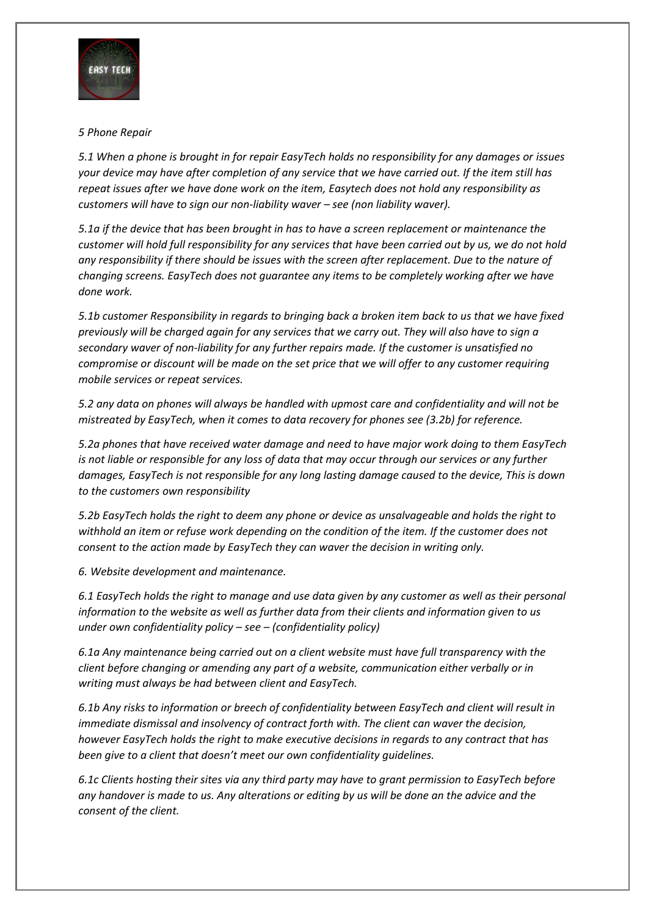

## *5 Phone Repair*

*5.1 When a phone is brought in for repair EasyTech holds no responsibility for any damages or issues your device may have after completion of any service that we have carried out. If the item still has repeat issues after we have done work on the item, Easytech does not hold any responsibility as customers will have to sign our non-liability waver – see (non liability waver).*

*5.1a if the device that has been brought in has to have a screen replacement or maintenance the customer will hold full responsibility for any services that have been carried out by us, we do not hold any responsibility if there should be issues with the screen after replacement. Due to the nature of changing screens. EasyTech does not guarantee any items to be completely working after we have done work.*

*5.1b customer Responsibility in regards to bringing back a broken item back to us that we have fixed previously will be charged again for any services that we carry out. They will also have to sign a secondary waver of non-liability for any further repairs made. If the customer is unsatisfied no compromise or discount will be made on the set price that we will offer to any customer requiring mobile services or repeat services.*

*5.2 any data on phones will always be handled with upmost care and confidentiality and will not be mistreated by EasyTech, when it comes to data recovery for phones see (3.2b) for reference.*

*5.2a phones that have received water damage and need to have major work doing to them EasyTech is not liable or responsible for any loss of data that may occur through our services or any further damages, EasyTech is not responsible for any long lasting damage caused to the device, This is down to the customers own responsibility*

*5.2b EasyTech holds the right to deem any phone or device as unsalvageable and holds the right to withhold an item or refuse work depending on the condition of the item. If the customer does not consent to the action made by EasyTech they can waver the decision in writing only.*

*6. Website development and maintenance.*

*6.1 EasyTech holds the right to manage and use data given by any customer as well as their personal information to the website as well as further data from their clients and information given to us under own confidentiality policy – see – (confidentiality policy)*

*6.1a Any maintenance being carried out on a client website must have full transparency with the client before changing or amending any part of a website, communication either verbally or in writing must always be had between client and EasyTech.*

*6.1b Any risks to information or breech of confidentiality between EasyTech and client will result in immediate dismissal and insolvency of contract forth with. The client can waver the decision, however EasyTech holds the right to make executive decisions in regards to any contract that has been give to a client that doesn't meet our own confidentiality guidelines.*

*6.1c Clients hosting their sites via any third party may have to grant permission to EasyTech before any handover is made to us. Any alterations or editing by us will be done an the advice and the consent of the client.*